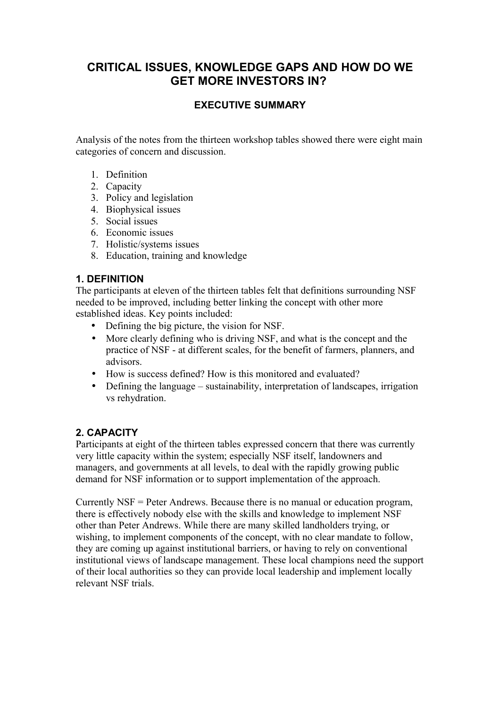# **CRITICAL ISSUES, KNOWLEDGE GAPS AND HOW DO WE GET MORE INVESTORS IN?**

### **EXECUTIVE SUMMARY**

Analysis of the notes from the thirteen workshop tables showed there were eight main categories of concern and discussion.

- 1. Definition
- 2. Capacity
- 3. Policy and legislation
- 4. Biophysical issues
- 5. Social issues
- 6. Economic issues
- 7. Holistic/systems issues
- 8. Education, training and knowledge

### **1. DEFINITION**

The participants at eleven of the thirteen tables felt that definitions surrounding NSF needed to be improved, including better linking the concept with other more established ideas. Key points included:

- Defining the big picture, the vision for NSF.
- More clearly defining who is driving NSF, and what is the concept and the practice of NSF - at different scales, for the benefit of farmers, planners, and advisors.
- How is success defined? How is this monitored and evaluated?
- Defining the language sustainability, interpretation of landscapes, irrigation vs rehydration.

### **2. CAPACITY**

Participants at eight of the thirteen tables expressed concern that there was currently very little capacity within the system; especially NSF itself, landowners and managers, and governments at all levels, to deal with the rapidly growing public demand for NSF information or to support implementation of the approach.

Currently NSF = Peter Andrews. Because there is no manual or education program, there is effectively nobody else with the skills and knowledge to implement NSF other than Peter Andrews. While there are many skilled landholders trying, or wishing, to implement components of the concept, with no clear mandate to follow, they are coming up against institutional barriers, or having to rely on conventional institutional views of landscape management. These local champions need the support of their local authorities so they can provide local leadership and implement locally relevant NSF trials.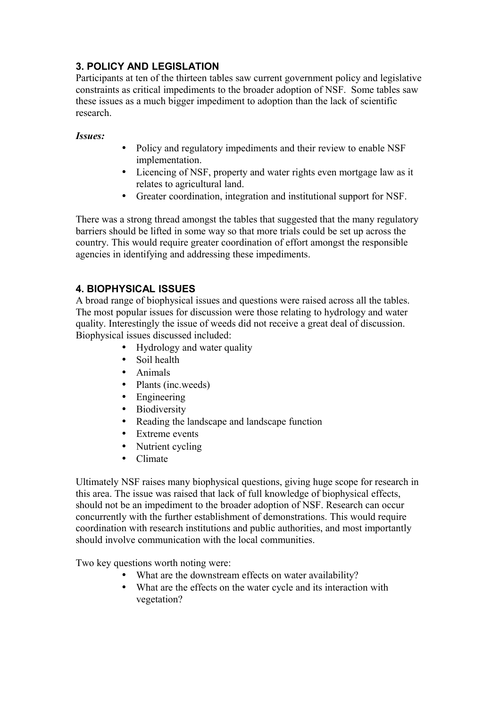## **3. POLICY AND LEGISLATION**

Participants at ten of the thirteen tables saw current government policy and legislative constraints as critical impediments to the broader adoption of NSF. Some tables saw these issues as a much bigger impediment to adoption than the lack of scientific research.

#### *Issues:*

- Policy and regulatory impediments and their review to enable NSF implementation.
- Licencing of NSF, property and water rights even mortgage law as it relates to agricultural land.
- Greater coordination, integration and institutional support for NSF.

There was a strong thread amongst the tables that suggested that the many regulatory barriers should be lifted in some way so that more trials could be set up across the country. This would require greater coordination of effort amongst the responsible agencies in identifying and addressing these impediments.

## **4. BIOPHYSICAL ISSUES**

A broad range of biophysical issues and questions were raised across all the tables. The most popular issues for discussion were those relating to hydrology and water quality. Interestingly the issue of weeds did not receive a great deal of discussion. Biophysical issues discussed included:

- Hydrology and water quality
- Soil health
- Animals
- Plants (inc.weeds)
- Engineering
- Biodiversity
- Reading the landscape and landscape function
- Extreme events
- Nutrient cycling
- Climate

Ultimately NSF raises many biophysical questions, giving huge scope for research in this area. The issue was raised that lack of full knowledge of biophysical effects, should not be an impediment to the broader adoption of NSF. Research can occur concurrently with the further establishment of demonstrations. This would require coordination with research institutions and public authorities, and most importantly should involve communication with the local communities.

Two key questions worth noting were:

- What are the downstream effects on water availability?
- What are the effects on the water cycle and its interaction with vegetation?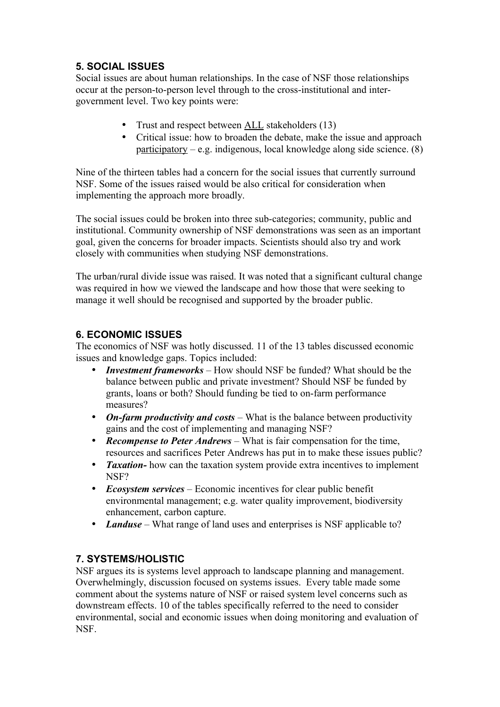## **5. SOCIAL ISSUES**

Social issues are about human relationships. In the case of NSF those relationships occur at the person-to-person level through to the cross-institutional and intergovernment level. Two key points were:

- Trust and respect between ALL stakeholders (13)
- Critical issue: how to broaden the debate, make the issue and approach participatory – e.g. indigenous, local knowledge along side science. (8)

Nine of the thirteen tables had a concern for the social issues that currently surround NSF. Some of the issues raised would be also critical for consideration when implementing the approach more broadly.

The social issues could be broken into three sub-categories; community, public and institutional. Community ownership of NSF demonstrations was seen as an important goal, given the concerns for broader impacts. Scientists should also try and work closely with communities when studying NSF demonstrations.

The urban/rural divide issue was raised. It was noted that a significant cultural change was required in how we viewed the landscape and how those that were seeking to manage it well should be recognised and supported by the broader public.

### **6. ECONOMIC ISSUES**

The economics of NSF was hotly discussed. 11 of the 13 tables discussed economic issues and knowledge gaps. Topics included:

- *Investment frameworks* How should NSF be funded? What should be the balance between public and private investment? Should NSF be funded by grants, loans or both? Should funding be tied to on-farm performance measures?
- *On-farm productivity and costs* What is the balance between productivity gains and the cost of implementing and managing NSF?
- *Recompense to Peter Andrews* What is fair compensation for the time, resources and sacrifices Peter Andrews has put in to make these issues public?
- *Taxation* how can the taxation system provide extra incentives to implement NSF?
- *Ecosystem services*  Economic incentives for clear public benefit environmental management; e.g. water quality improvement, biodiversity enhancement, carbon capture.
- *Landuse* What range of land uses and enterprises is NSF applicable to?

### **7. SYSTEMS/HOLISTIC**

NSF argues its is systems level approach to landscape planning and management. Overwhelmingly, discussion focused on systems issues. Every table made some comment about the systems nature of NSF or raised system level concerns such as downstream effects. 10 of the tables specifically referred to the need to consider environmental, social and economic issues when doing monitoring and evaluation of NSF.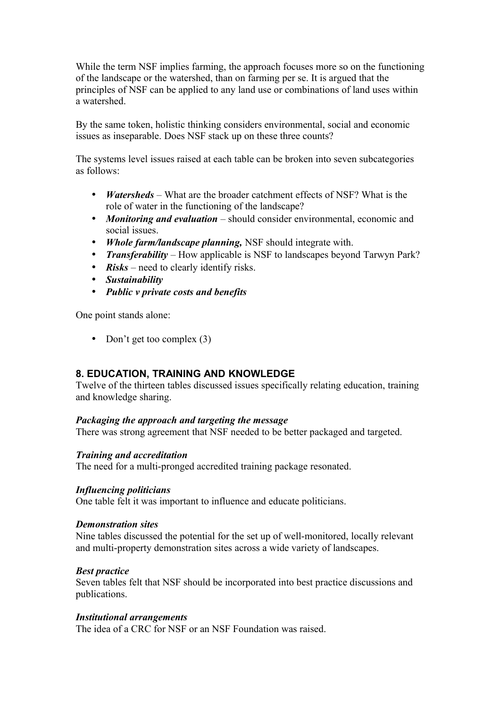While the term NSF implies farming, the approach focuses more so on the functioning of the landscape or the watershed, than on farming per se. It is argued that the principles of NSF can be applied to any land use or combinations of land uses within a watershed.

By the same token, holistic thinking considers environmental, social and economic issues as inseparable. Does NSF stack up on these three counts?

The systems level issues raised at each table can be broken into seven subcategories as follows:

- *Watersheds* What are the broader catchment effects of NSF? What is the role of water in the functioning of the landscape?
- *Monitoring and evaluation* should consider environmental, economic and social issues.
- *Whole farm/landscape planning,* NSF should integrate with.
- *Transferability* How applicable is NSF to landscapes beyond Tarwyn Park?
- *Risks* need to clearly identify risks.
- *Sustainability*
- *Public v private costs and benefits*

One point stands alone:

• Don't get too complex (3)

### **8. EDUCATION, TRAINING AND KNOWLEDGE**

Twelve of the thirteen tables discussed issues specifically relating education, training and knowledge sharing.

#### *Packaging the approach and targeting the message*

There was strong agreement that NSF needed to be better packaged and targeted.

#### *Training and accreditation*

The need for a multi-pronged accredited training package resonated.

#### *Influencing politicians*

One table felt it was important to influence and educate politicians.

#### *Demonstration sites*

Nine tables discussed the potential for the set up of well-monitored, locally relevant and multi-property demonstration sites across a wide variety of landscapes.

#### *Best practice*

Seven tables felt that NSF should be incorporated into best practice discussions and publications.

#### *Institutional arrangements*

The idea of a CRC for NSF or an NSF Foundation was raised.